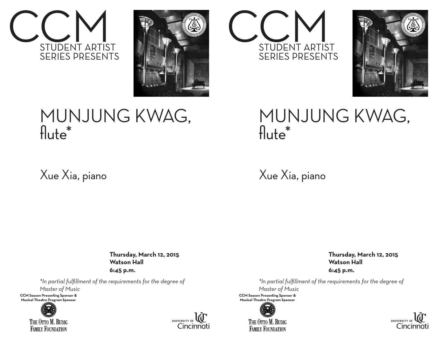



## MUNJUNG KWAG, flute\*

Xue Xia, piano

 **Thursday, March 12, 2015 Watson Hall 6:45 p.m.**

*\*In partial fulfillment of the requirements for the degree of*

*Master of Music*

**CCM Season Presenting Sponsor &** Musical Theatre Program Sponsor